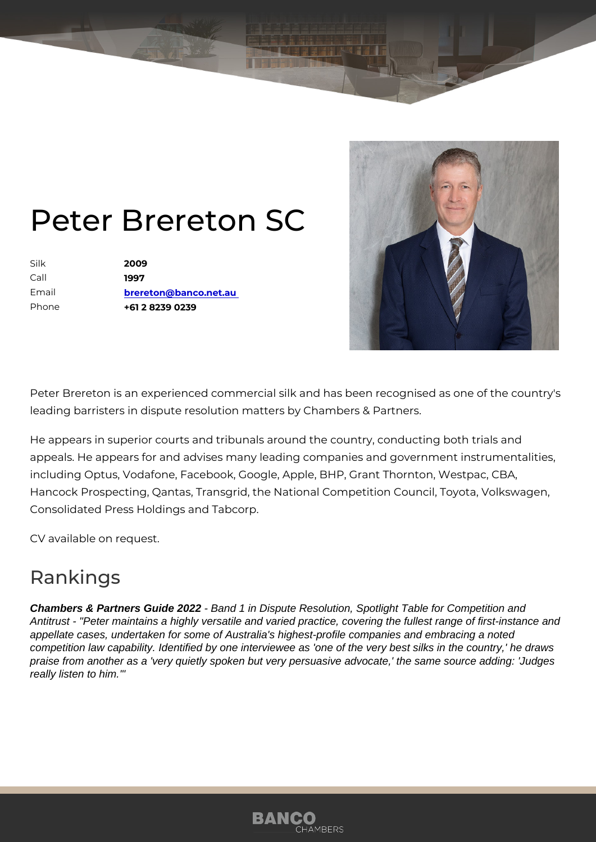## Peter Brereton SC

Silk 2009 Call 1997 Email [brereton@banco.n](mailto:brereton@banco.net.au)et.au Phone +61 2 8239 0239

Peter Brereton is an experienced commercial silk and has been recognise leading barristers in dispute resolution matters by Chambers & Partners.

He appears in superior courts and tribunals around the country, conducti appeals. He appears for and advises many leading companies and govern including Optus, Vodafone, Facebook, Google, Apple, BHP, Grant Thornto Hancock Prospecting, Qantas, Transgrid, the National Competition Counc Consolidated Press Holdings and Tabcorp.

CV available on request.

## Rankings

Chambers & Partners Guide 2022 - Band 1 in Dispute Resolution, Spotlight Table for Competition and Antitrust - "Peter maintains a highly versatile and varied practice, covering the fullest range of first-instance and appellate cases, undertaken for some of Australia's highest-profile companies and embracing a noted competition law capability. Identified by one interviewee as 'one of the very best silks in the country,' he draws praise from another as a 'very quietly spoken but very persuasive advocate,' the same source adding: 'Judges really listen to him.'"